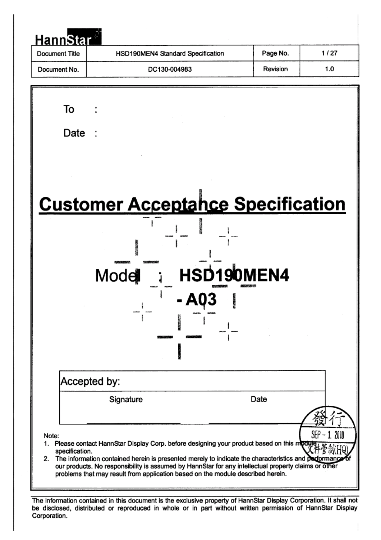| <b>HannStar</b>         |                      |                                                                                                                                                                                                                                                                                                 |          |                 |
|-------------------------|----------------------|-------------------------------------------------------------------------------------------------------------------------------------------------------------------------------------------------------------------------------------------------------------------------------------------------|----------|-----------------|
| Document Title          |                      | HSD190MEN4 Standard Specification                                                                                                                                                                                                                                                               | Page No. | 1/27            |
| Document No.            |                      | DC130-004983                                                                                                                                                                                                                                                                                    | Revision | 1.0             |
|                         |                      |                                                                                                                                                                                                                                                                                                 |          |                 |
| To                      |                      |                                                                                                                                                                                                                                                                                                 |          |                 |
| Date                    |                      |                                                                                                                                                                                                                                                                                                 |          |                 |
|                         |                      |                                                                                                                                                                                                                                                                                                 |          |                 |
|                         |                      |                                                                                                                                                                                                                                                                                                 |          |                 |
|                         |                      | <b>Customer Acceptance Specification</b>                                                                                                                                                                                                                                                        |          |                 |
|                         |                      |                                                                                                                                                                                                                                                                                                 |          |                 |
|                         |                      |                                                                                                                                                                                                                                                                                                 |          |                 |
|                         | Mode<br>$\mathbf{I}$ | HSD190MEN4                                                                                                                                                                                                                                                                                      |          |                 |
|                         |                      |                                                                                                                                                                                                                                                                                                 |          |                 |
|                         |                      |                                                                                                                                                                                                                                                                                                 |          |                 |
|                         |                      |                                                                                                                                                                                                                                                                                                 |          |                 |
|                         |                      |                                                                                                                                                                                                                                                                                                 |          |                 |
|                         | Accepted by:         |                                                                                                                                                                                                                                                                                                 |          |                 |
|                         | Signature            |                                                                                                                                                                                                                                                                                                 | Date     |                 |
|                         |                      |                                                                                                                                                                                                                                                                                                 |          |                 |
| Note:<br>specification. |                      | 1. Please contact HannStar Display Corp. before designing your product based on this module                                                                                                                                                                                                     |          | SEP –<br>1 2011 |
|                         |                      | 2. The information contained herein is presented merely to indicate the characteristics and performa<br>our products. No responsibility is assumed by HannStar for any intellectual property claims or other<br>problems that may result from application based on the module described herein. |          |                 |

be disclosed, distributed or reproduced in whole or in the part with permission of Hann Display Display Display he informatio Corporation.

The information contained in this document is the exclusive property of HannStar Display Corporation. It shall not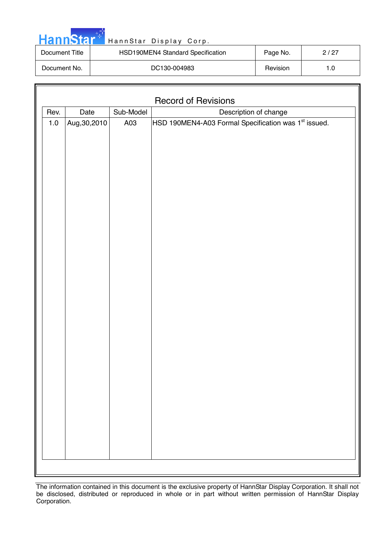

| Document Title | HSD190MEN4 Standard Specification | Page No. | 2/27 |
|----------------|-----------------------------------|----------|------|
| Document No.   | DC130-004983                      | Revision | 1.0  |

|                                                                                                   | <b>Record of Revisions</b> |  |  |  |  |
|---------------------------------------------------------------------------------------------------|----------------------------|--|--|--|--|
| Date<br>Sub-Model<br>Description of change<br>Rev.                                                |                            |  |  |  |  |
| HSD 190MEN4-A03 Formal Specification was 1 <sup>st</sup> issued.<br>Aug, 30, 2010<br>$1.0$<br>A03 |                            |  |  |  |  |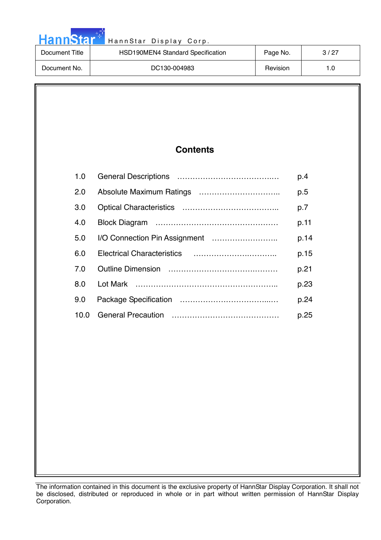| <b>HannStar</b> | HannStar Display Corp.            |          |      |
|-----------------|-----------------------------------|----------|------|
| Document Title  | HSD190MEN4 Standard Specification | Page No. | 3/27 |
| Document No.    | DC130-004983                      | Revision | 1.0  |

an an Sala

# **Contents**

| 1.0  | p.4  |
|------|------|
| 2.0  | p.5  |
| 3.0  | p.7  |
| 4.0  | p.11 |
| 5.0  | p.14 |
| 60   | p.15 |
| 7 O  | p.21 |
| 8.0  | p.23 |
| 9.0  | p.24 |
| 10.0 | p.25 |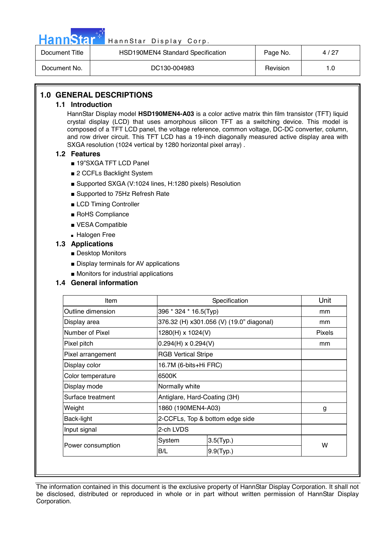

| Document Title | HSD190MEN4 Standard Specification | Page No. | 4/27 |
|----------------|-----------------------------------|----------|------|
| Document No.   | DC130-004983                      | Revision |      |

### **1.0 GENERAL DESCRIPTIONS**

#### **1.1 Introduction**

HannStar Display model **HSD190MEN4-A03** is a color active matrix thin film transistor (TFT) liquid crystal display (LCD) that uses amorphous silicon TFT as a switching device. This model is composed of a TFT LCD panel, the voltage reference, common voltage, DC-DC converter, column, and row driver circuit. This TFT LCD has a 19-inch diagonally measured active display area with SXGA resolution (1024 vertical by 1280 horizontal pixel array) .

#### **1.2 Features**

- 19"SXGA TFT LCD Panel
- 2 CCFLs Backlight System
- Supported SXGA (V:1024 lines, H:1280 pixels) Resolution
- Supported to 75Hz Refresh Rate
- LCD Timing Controller
- RoHS Compliance
- VESA Compatible
- Halogen Free
- **1.3 Applications** 
	- Desktop Monitors
	- Display terminals for AV applications
	- Monitors for industrial applications

#### **1.4 General information**

| Item              |                            | Specification                            |               |  |
|-------------------|----------------------------|------------------------------------------|---------------|--|
| Outline dimension | 396 * 324 * 16.5(Typ)      |                                          | mm            |  |
| Display area      |                            | 376.32 (H) x301.056 (V) (19.0" diagonal) | mm            |  |
| Number of Pixel   | 1280(H) x 1024(V)          |                                          | <b>Pixels</b> |  |
| Pixel pitch       | $0.294(H) \times 0.294(V)$ |                                          | mm            |  |
| Pixel arrangement | <b>RGB Vertical Stripe</b> |                                          |               |  |
| Display color     | 16.7M (6-bits+Hi FRC)      |                                          |               |  |
| Color temperature | 6500K                      |                                          |               |  |
| Display mode      |                            | Normally white                           |               |  |
| Surface treatment |                            | Antiglare, Hard-Coating (3H)             |               |  |
| Weight            |                            | 1860 (190MEN4-A03)                       |               |  |
| Back-light        |                            | 2-CCFLs, Top & bottom edge side          |               |  |
| Input signal      | 2-ch LVDS                  |                                          |               |  |
|                   | System                     | $3.5$ (Typ.)                             | W             |  |
| Power consumption | B/L                        | $9.9$ (Typ.)                             |               |  |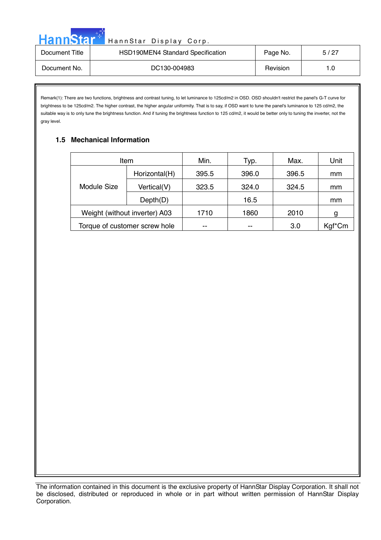| <b>HannStar</b> | HannStar Display Corp.            |          |      |
|-----------------|-----------------------------------|----------|------|
| Document Title  | HSD190MEN4 Standard Specification | Page No. | 5/27 |
| Document No.    | DC130-004983                      | Revision | 1.0  |

Remark(1): There are two functions, brightness and contrast tuning, to let luminance to 125cd/m2 in OSD. OSD shouldn't restrict the panel's G-T curve for brightness to be 125cd/m2. The higher contrast, the higher angular uniformity. That is to say, if OSD want to tune the panel's luminance to 125 cd/m2, the suitable way is to only tune the brightness function. And if tuning the brightness function to 125 cd/m2, it would be better only to tuning the inverter, not the gray level.

## **1.5 Mechanical Information**

|             | Item                          | Min.  | Typ.  | Max.  | Unit   |
|-------------|-------------------------------|-------|-------|-------|--------|
|             | Horizontal(H)                 | 395.5 | 396.0 | 396.5 | mm     |
| Module Size | Vertical(V)                   | 323.5 | 324.0 | 324.5 | mm     |
|             | Depth(D)                      |       | 16.5  |       | mm     |
|             | Weight (without inverter) A03 | 1710  | 1860  | 2010  | g      |
|             | Torque of customer screw hole | --    | --    | 3.0   | Kgf*Cm |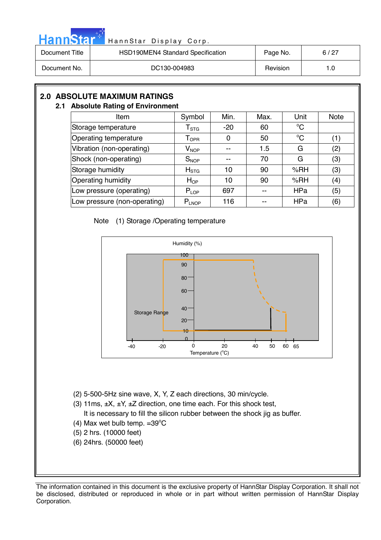

| Document Title | HSD190MEN4 Standard Specification | Page No. | 6/27 |
|----------------|-----------------------------------|----------|------|
| Document No.   | DC130-004983                      | Revision | 1.0  |

# **2.0 ABSOLUTE MAXIMUM RATINGS**

#### **2.1 Absolute Rating of Environment**

| Item                         | Symbol                                                     | Min.  | Max. | Unit        | <b>Note</b> |
|------------------------------|------------------------------------------------------------|-------|------|-------------|-------------|
| Storage temperature          | $\mathsf{T}_{\text{STG}}$                                  | $-20$ | 60   | $^{\circ}C$ |             |
| Operating temperature        | ${\mathsf T}_{\textsf{OPR}}$                               | 0     | 50   | $^{\circ}C$ | (1)         |
| Vibration (non-operating)    | $\mathsf{V}_{\mathsf{NOP}}$                                | --    | 1.5  | G           | (2)         |
| Shock (non-operating)        | $S_{NOP}$                                                  | --    | 70   | G           | (3)         |
| Storage humidity             | $H_{\mathrm{STG}}$                                         | 10    | 90   | %RH         | (3)         |
| <b>Operating humidity</b>    | $H_{OP}$                                                   | 10    | 90   | %RH         | (4)         |
| Low pressure (operating)     | $P_{LOP}$                                                  | 697   |      | <b>HPa</b>  | (5)         |
| Low pressure (non-operating) | $\mathsf{P}_{\mathsf{L} \mathsf{N} \mathsf{O} \mathsf{P}}$ | 116   |      | HPa         | (6)         |

#### Note (1) Storage /Operating temperature



- (2) 5-500-5Hz sine wave, X, Y, Z each directions, 30 min/cycle.
- (3) 11ms,  $\pm X$ ,  $\pm Y$ ,  $\pm Z$  direction, one time each. For this shock test,
- It is necessary to fill the silicon rubber between the shock jig as buffer.
- (4) Max wet bulb temp.  $=39^{\circ}$ C
	- (5) 2 hrs. (10000 feet)
	- (6) 24hrs. (50000 feet)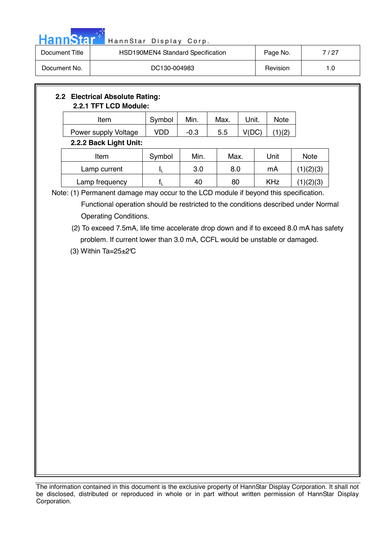

| Document Title | HSD190MEN4 Standard Specification | Page No. | 7 / 27 |
|----------------|-----------------------------------|----------|--------|
| Document No.   | DC130-004983                      | Revision |        |

# **2.2 Electrical Absolute Rating: 2.2.1 TFT LCD Module:**  Item Symbol Min. Max. Unit. Note Power supply Voltage  $\vert$  VDD  $\vert$  -0.3  $\vert$  5.5  $\vert$  V(DC)  $\vert$  (1)(2) **2.2.2 Back Light Unit:**  Item | Symbol | Min. | Max. | Unit | Note Lamp current  $I_L$  3.0 8.0 mA  $(1)(2)(3)$ Lamp frequency  $f_L$  40 80 KHz  $(1)(2)(3)$

Note: (1) Permanent damage may occur to the LCD module if beyond this specification. Functional operation should be restricted to the conditions described under Normal Operating Conditions.

 (2) To exceed 7.5mA, life time accelerate drop down and if to exceed 8.0 mA has safety problem. If current lower than 3.0 mA, CCFL would be unstable or damaged.

(3) Within Ta= $25\pm2\text{°C}$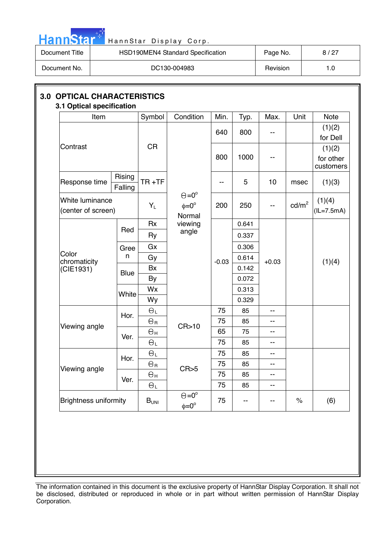

| Document Title | HSD190MEN4 Standard Specification | Page No. | 8/27 |
|----------------|-----------------------------------|----------|------|
| Document No.   | DC130-004983                      | Revision | 1.C  |

| Item                                  |                   | Symbol                                  | Condition                                            | Min.     | Typ.     | Max.    | Unit              | <b>Note</b>                      |  |       |  |  |  |
|---------------------------------------|-------------------|-----------------------------------------|------------------------------------------------------|----------|----------|---------|-------------------|----------------------------------|--|-------|--|--|--|
|                                       |                   |                                         |                                                      | 640      | 800      | --      |                   | (1)(2)<br>for Dell               |  |       |  |  |  |
| Contrast                              |                   | <b>CR</b>                               |                                                      | 800      | 1000     |         |                   | (1)(2)<br>for other<br>customers |  |       |  |  |  |
| Response time                         | Rising<br>Falling | $TR + TF$                               |                                                      | --       | 5        | 10      | msec              | (1)(3)                           |  |       |  |  |  |
| White luminance<br>(center of screen) |                   | $Y_L$                                   | $\Theta = 0^{\circ}$<br>$\phi = 0^{\circ}$<br>Normal | 200      | 250      | --      | cd/m <sup>2</sup> | (1)(4)<br>$(IL=7.5mA)$           |  |       |  |  |  |
|                                       |                   | <b>Rx</b>                               | viewing                                              |          | 0.641    |         |                   |                                  |  |       |  |  |  |
|                                       | Red               | Ry                                      | angle                                                |          | 0.337    |         |                   |                                  |  |       |  |  |  |
| Color<br>chromaticity                 | Gree              | Gx                                      |                                                      |          | 0.306    |         |                   |                                  |  |       |  |  |  |
|                                       | n                 | Gy                                      |                                                      | $-0.03$  | 0.614    | $+0.03$ |                   | (1)(4)                           |  |       |  |  |  |
| (CIE1931)                             | <b>Blue</b>       | Bx                                      |                                                      |          | 0.142    |         |                   |                                  |  |       |  |  |  |
|                                       |                   |                                         |                                                      |          |          |         | <b>By</b>         |                                  |  | 0.072 |  |  |  |
|                                       | White             | Wx                                      |                                                      |          | 0.313    |         |                   |                                  |  |       |  |  |  |
|                                       |                   | Wy                                      |                                                      |          | 0.329    |         |                   |                                  |  |       |  |  |  |
|                                       | Hor.              | $\Theta_L$                              |                                                      | 75       | 85       | --      |                   |                                  |  |       |  |  |  |
| Viewing angle                         |                   | $\Theta$ r                              | CR > 10                                              | 75       | 85       | --      |                   |                                  |  |       |  |  |  |
|                                       | Ver.              | $\Theta$ H                              |                                                      | 65       | 75       | --      |                   |                                  |  |       |  |  |  |
|                                       |                   | $\Theta_L$                              |                                                      | 75       | 85       | --      |                   |                                  |  |       |  |  |  |
|                                       | Hor.              | $\Theta_L$                              |                                                      | 75       | 85       | --      |                   |                                  |  |       |  |  |  |
| Viewing angle                         |                   | $\Theta_{\rm R}$                        | CR>5                                                 | 75       | 85       | --      |                   |                                  |  |       |  |  |  |
|                                       | Ver.              | $\Theta_{\rm H}$<br>$\Theta_\mathrm{L}$ |                                                      | 75<br>75 | 85<br>85 | --      |                   |                                  |  |       |  |  |  |
| <b>Brightness uniformity</b>          |                   | $B_{UNI}$                               | $\Theta = 0^{\circ}$<br>$\phi = 0^{\circ}$           | 75       | --       | --      | $\%$              | (6)                              |  |       |  |  |  |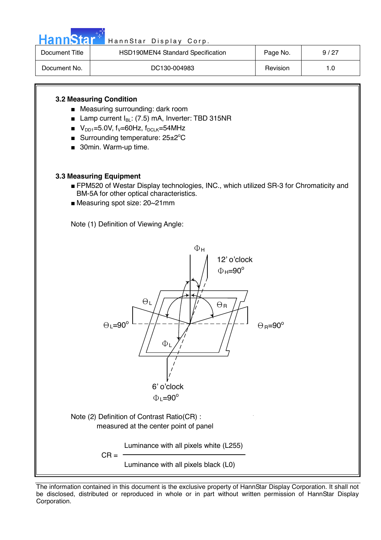

| Document Title | HSD190MEN4 Standard Specification | Page No. | 9/27 |
|----------------|-----------------------------------|----------|------|
| Document No.   | DC130-004983                      | Revision |      |

#### **3.2 Measuring Condition**

- Measuring surrounding: dark room
- Lamp current I<sub>BL</sub>: (7.5) mA, Inverter: TBD 315NR
- $V_{DD1} = 5.0V$ , f<sub>V</sub>=60Hz, f<sub>DCLK</sub>=54MHz
- **Burrounding temperature: 25** $\pm$ **2°C**
- 30min. Warm-up time.

#### **3.3 Measuring Equipment**

- FPM520 of Westar Display technologies, INC., which utilized SR-3 for Chromaticity and BM-5A for other optical characteristics.
- Measuring spot size: 20~21mm

Note (1) Definition of Viewing Angle:

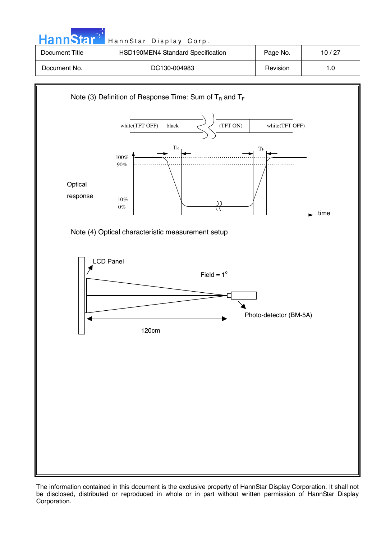| <b>HannStar</b> * | HannStar Display Corp.            |          |       |
|-------------------|-----------------------------------|----------|-------|
| Document Title    | HSD190MEN4 Standard Specification | Page No. | 10/27 |
| Document No.      | DC130-004983                      | Revision | 1.0   |



The information contained in this document is the exclusive property of HannStar Display Corporation. It shall not be disclosed, distributed or reproduced in whole or in part without written permission of HannStar Display Corporation.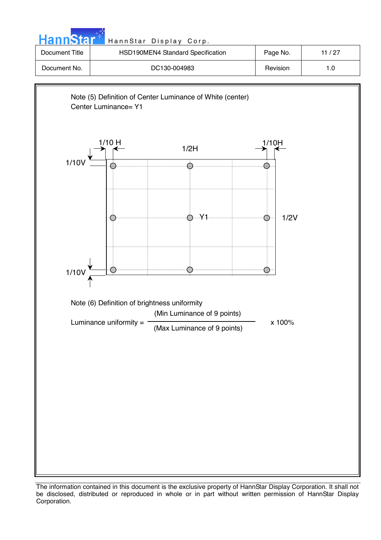

The information contained in this document is the exclusive property of HannStar Display Corporation. It shall not be disclosed, distributed or reproduced in whole or in part without written permission of HannStar Display Corporation.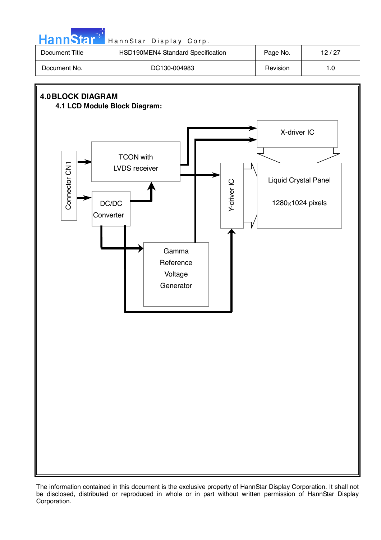| Document No.             | HSD190MEN4 Standard Specification                                                                                    | Page No.                                                | 12/27 |
|--------------------------|----------------------------------------------------------------------------------------------------------------------|---------------------------------------------------------|-------|
|                          | DC130-004983                                                                                                         | Revision                                                | $1.0$ |
| <b>4.0 BLOCK DIAGRAM</b> | 4.1 LCD Module Block Diagram:                                                                                        |                                                         |       |
| Connector CN1            | <b>TCON with</b><br>LVDS receiver<br>Y-driver IC<br>DC/DC<br>Converter<br>Gamma<br>Reference<br>Voltage<br>Generator | X-driver IC<br>Liquid Crystal Panel<br>1280×1024 pixels |       |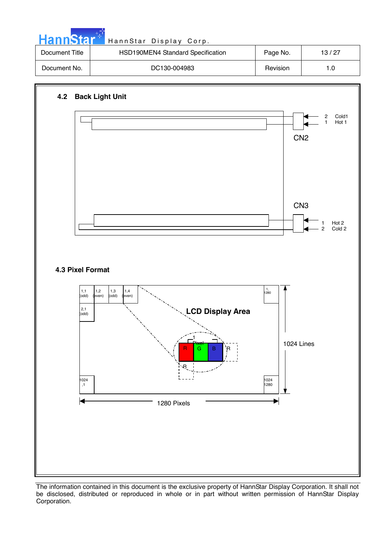| Document Title | HSD190MEN4 Standard Specification | Page No. | 13/27 |
|----------------|-----------------------------------|----------|-------|
| Document No.   | DC130-004983                      | Revision |       |

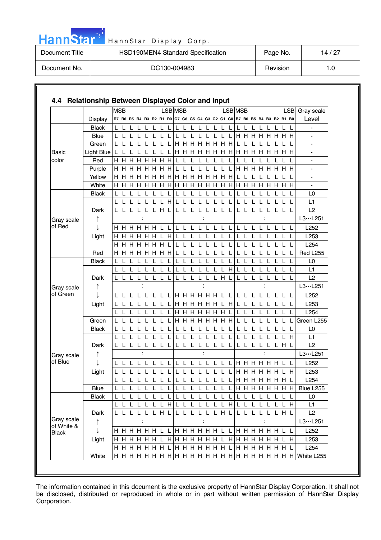|  | ann | <b>A</b> |  |
|--|-----|----------|--|
|  |     |          |  |

| Document Title | HSD190MEN4 Standard Specification | Page No. | 14 / 27 |
|----------------|-----------------------------------|----------|---------|
| Document No.   | DC130-004983                      | Revision | 1.0     |

|                          |              | <b>MSB</b> |     |              |                  |   |             |              |              | <b>LSB</b> MSB                                                          |     |                      |         |              |              |              |        | LSB MSB |     |               |    |       |    |     |                                                       | LSB Gray scale               |
|--------------------------|--------------|------------|-----|--------------|------------------|---|-------------|--------------|--------------|-------------------------------------------------------------------------|-----|----------------------|---------|--------------|--------------|--------------|--------|---------|-----|---------------|----|-------|----|-----|-------------------------------------------------------|------------------------------|
|                          | Display      |            |     |              |                  |   |             |              |              | R7 R6 R5 R4 R3 R2 R1 R0 G7 G6 G5 G4 G3 G2 G1 G0 B7 B6 B5 B4 B3 B2 B1 B0 |     |                      |         |              |              |              |        |         |     |               |    |       |    |     |                                                       | Level                        |
|                          | Black        |            |     |              |                  |   |             |              |              | L                                                                       | L   |                      |         |              |              |              |        |         |     |               |    |       |    |     |                                                       |                              |
|                          | <b>Blue</b>  |            |     |              |                  |   |             |              |              | L                                                                       |     |                      |         |              |              |              |        |         |     | H H H H H H H |    |       |    |     |                                                       | $\overline{\phantom{a}}$     |
|                          | Green        | L L        |     | $\mathbf{L}$ |                  |   |             |              |              |                                                                         |     | <b>H H H H H H H</b> |         |              |              |              |        | L       |     |               |    |       |    |     |                                                       | $\overline{\phantom{a}}$     |
| Basic                    | Light Blue   |            |     |              |                  |   |             |              |              |                                                                         |     |                      |         |              |              |              |        |         |     |               |    |       |    |     | H                                                     | $\qquad \qquad \blacksquare$ |
| color                    | Red          |            |     |              | <b>H H H H H</b> |   |             | H H          | H            |                                                                         |     |                      |         |              |              |              |        |         |     |               |    |       |    |     |                                                       |                              |
|                          | Purple       |            |     |              |                  |   | H           | H            | H            | $\mathbf{I}$                                                            |     |                      |         |              |              |              |        | H.      | H   | H             | H. | H.    | H. | H   | H                                                     | $\overline{\phantom{0}}$     |
|                          | Yellow       | н н        |     | H            | H                | H | H.          | H            | H            |                                                                         | HHH |                      | H       | H            | H.           | H            | H      |         |     |               |    |       |    |     |                                                       |                              |
|                          | White        |            |     |              | H H H H H        |   |             | H H          | H            |                                                                         |     | H H H H H H H        |         |              |              |              |        |         |     | H H H         | H  | H     |    | H H | H                                                     |                              |
|                          | <b>Black</b> |            |     |              |                  |   |             |              |              |                                                                         | L   |                      | L       |              | L            |              | L      |         |     |               |    |       |    |     |                                                       | L0                           |
|                          |              |            | L L | L            |                  |   | L           | L            | H            | L                                                                       |     | L L                  | L       |              | L            | L            | L      |         | L   |               |    |       |    |     |                                                       | L1                           |
|                          | Dark         |            |     |              |                  |   | L           | H            |              |                                                                         |     |                      |         |              |              |              |        |         |     |               |    |       |    |     |                                                       | L2                           |
| Gray scale               | ↑            |            |     |              |                  |   |             |              |              |                                                                         |     |                      |         |              |              |              |        |         |     |               |    |       |    |     |                                                       | L3L251                       |
| of Red                   |              |            |     |              |                  |   | H H H H H L |              |              | L.                                                                      | L   | $\perp$              | $\perp$ | $\mathbf{L}$ | $\mathbf{L}$ |              |        |         |     |               |    |       |    |     |                                                       | L252                         |
|                          | Light        |            |     |              |                  |   | H H H H H L |              | H            | L                                                                       | L   | L                    | L       | $\mathbf{L}$ | L.           | L            |        |         |     |               |    |       |    |     |                                                       | L253                         |
|                          |              |            |     |              | <b>H H H H H</b> |   | H           | н            |              |                                                                         |     |                      |         |              |              |              |        |         |     |               |    |       |    |     |                                                       | L <sub>254</sub>             |
|                          | Red          |            |     |              | H H H H H        |   | H.          | H.           | н            |                                                                         |     |                      |         |              |              |              |        |         |     |               |    |       |    |     |                                                       | <b>Red L255</b>              |
|                          | <b>Black</b> | L          |     |              |                  |   |             |              |              |                                                                         |     |                      |         |              |              |              |        |         |     |               |    |       |    |     |                                                       | L <sub>0</sub>               |
|                          |              |            |     |              |                  |   |             |              |              |                                                                         |     |                      |         |              |              |              | н      |         |     |               |    |       |    |     |                                                       | L <sub>1</sub>               |
|                          | Dark         |            |     |              |                  |   |             |              |              |                                                                         |     |                      |         |              | L            | H            |        |         |     |               |    |       |    |     |                                                       | L2                           |
| Gray scale               | ↑            |            |     |              |                  |   |             |              |              |                                                                         |     |                      |         |              |              |              |        |         |     |               |    |       |    |     |                                                       | L3L251                       |
| of Green                 |              |            |     |              |                  |   |             |              |              | LH H H H H H L L                                                        |     |                      |         |              |              |              |        | L       |     |               |    |       |    |     |                                                       | L252                         |
|                          | Light        |            |     |              |                  |   |             |              |              |                                                                         |     | <b>HHHHHL</b>        |         |              |              |              | H      |         |     |               |    |       |    |     |                                                       | L253                         |
|                          |              |            |     |              |                  |   |             |              |              |                                                                         |     | <b>HHHHHH</b>        |         |              |              |              |        |         |     |               |    |       |    |     |                                                       | L254                         |
|                          | Green        |            |     |              |                  |   |             |              |              |                                                                         |     | <b>H H H H H H H</b> |         |              |              |              |        |         |     |               |    |       |    |     |                                                       | Green L255                   |
|                          | <b>Black</b> | L.         |     |              |                  |   |             |              |              |                                                                         |     |                      |         |              |              |              |        |         |     |               |    |       |    |     |                                                       | L <sub>0</sub>               |
|                          |              |            |     |              |                  |   |             |              |              |                                                                         |     |                      |         |              |              |              |        |         |     |               |    |       |    |     | H                                                     | L1                           |
|                          | Dark         |            |     |              |                  |   |             |              |              |                                                                         |     |                      | L       |              | L            | $\mathbf{L}$ |        |         |     |               |    |       |    | L H |                                                       | L2                           |
| Gray scale               |              |            |     |              |                  |   |             |              |              |                                                                         |     |                      |         |              |              |              |        |         |     |               |    |       |    |     |                                                       | $L3 \cdots L251$             |
| of Blue                  |              |            |     |              |                  |   |             |              |              |                                                                         |     | L L L L L L L LI     |         |              |              |              |        |         |     | H H H H H L L |    |       |    |     |                                                       | L252                         |
|                          | Light        |            |     |              |                  |   |             |              |              |                                                                         |     |                      |         |              |              |              |        |         | H H |               |    | H H H | H  |     | H.                                                    | L253                         |
|                          |              | L          | L   |              |                  |   |             |              |              |                                                                         | L   |                      | L       | L            |              |              |        |         |     | <b>HHHHHH</b> |    |       |    |     |                                                       | L <sub>254</sub>             |
|                          | Blue         |            |     |              |                  |   |             |              |              |                                                                         |     |                      |         |              |              |              |        |         |     |               |    |       |    |     | L L L L L L L L L L L L L L L L L H H H H H H H H H H | Blue L255                    |
|                          | <b>Black</b> |            |     |              |                  |   |             | $\mathbf{L}$ | $\mathbf{L}$ | IL L L L                                                                |     |                      |         |              | L L L        |              | L      | L       |     |               |    |       |    |     |                                                       | L <sub>0</sub>               |
|                          |              |            |     | $\mathsf{L}$ | -L               | L | $\mathsf L$ |              |              | LHLLL                                                                   |     |                      |         |              |              |              | LLLLHL |         | -L  | -L            | L  |       |    | L.  | H                                                     | L1                           |
|                          | Dark         |            |     |              |                  |   |             |              | LLLLLLHL     |                                                                         |     | L L L L L L H L      |         |              |              |              |        |         |     | LLLLLLHL      |    |       |    |     |                                                       | L2                           |
| Gray scale<br>of White & | ↑            |            |     |              |                  |   |             |              |              |                                                                         |     |                      |         |              |              |              |        |         |     |               |    |       |    |     |                                                       | L3L251                       |
| <b>Black</b>             |              |            |     |              |                  |   |             |              |              |                                                                         |     |                      |         |              |              |              |        |         |     |               |    |       |    |     |                                                       | L252                         |
|                          | Light        |            |     |              |                  |   |             |              |              |                                                                         |     |                      |         |              |              |              |        |         |     |               |    |       |    |     |                                                       | L253                         |
|                          |              |            |     |              |                  |   |             |              |              |                                                                         |     |                      |         |              |              |              |        |         |     |               |    |       |    |     |                                                       | L254                         |
|                          | White        |            |     |              |                  |   |             |              |              |                                                                         |     |                      |         |              |              |              |        |         |     |               |    |       |    |     |                                                       |                              |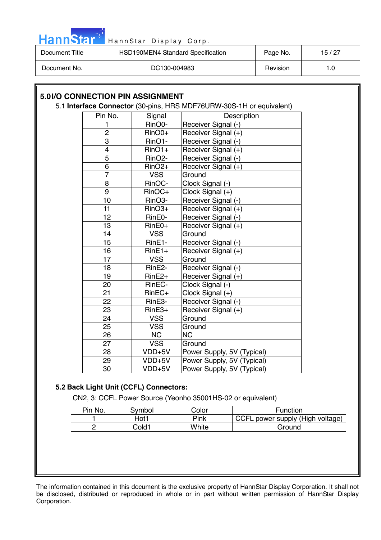

| Document Title | HSD190MEN4 Standard Specification | Page No. | 15/27 |
|----------------|-----------------------------------|----------|-------|
| Document No.   | DC130-004983                      | Revision | 1.0   |

#### **5.0 I/O CONNECTION PIN ASSIGNMENT**  5.1 **Interface Connector** (30-pins, HRS MDF76URW-30S-1H or equivalent) Pin No. Signal Description 1 RinO0- Receiver Signal (-)<br>2 RinO0+ Receiver Signal (+) Receiver Signal (+) 3 RinO1- Receiver Signal (-) 4 RinO1+ Receiver Signal (+) 5 | RinO2- | Receiver Signal (-) 6 RinO2+ Receiver Signal (+) 7 | VSS Ground 8 | RinOC- Clock Signal (-) 9 | RinOC+ | Clock Signal (+) 10 RinO3- Receiver Signal (-)<br>11 RinO3+ Receiver Signal (+) 11 RinO3+ Receiver Signal (+) 12 | RinE0- | Receiver Signal (-) 13 | RinE0+ | Receiver Signal (+) 14 | VSS Ground 15 | RinE1- Receiver Signal (-) 16 | RinE1+ | Receiver Signal (+) 17 | VSS Ground 18 | RinE2- Receiver Signal (-) 19 RinE2+ Receiver Signal (+) 20 | RinEC- Clock Signal (-) 21 | RinEC+ | Clock Signal (+) 22 RinE3- Receiver Signal (-) 23 | RinE3+ | Receiver Signal (+) 24 | VSS | Ground 25 | VSS Ground

#### **5.2 Back Light Unit (CCFL) Connectors:**

26 NC NC 27 | VSS Ground

CN2, 3: CCFL Power Source (Yeonho 35001HS-02 or equivalent)

28 VDD+5V Power Supply, 5V (Typical) 29 | VDD+5V | Power Supply, 5V (Typical) 30 VDD+5V Power Supply, 5V (Typical)

| Pin No. | Svmbol | Color | <b>Function</b>                  |
|---------|--------|-------|----------------------------------|
|         | Hot1   | Pink  | CCFL power supply (High voltage) |
|         | Cold1  | White | Ground                           |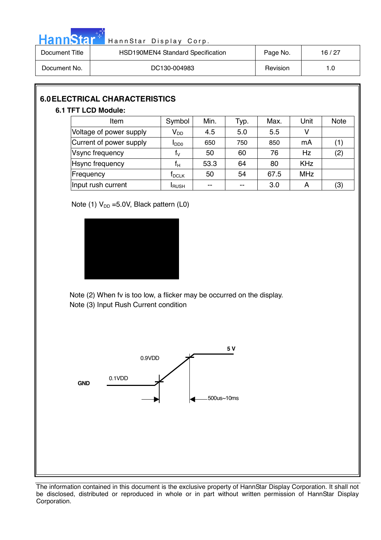

| Document Title | HSD190MEN4 Standard Specification | Page No. | 16 / 27 |
|----------------|-----------------------------------|----------|---------|
| Document No.   | DC130-004983                      | Revision | 1.0     |

# **6.0 ELECTRICAL CHARACTERISTICS**

#### **6.1 TFT LCD Module:**

| Item                    | Symbol                  | Min.  | Typ. | Max. | Unit       | <b>Note</b> |
|-------------------------|-------------------------|-------|------|------|------------|-------------|
| Voltage of power supply | $V_{DD}$                | 4.5   | 5.0  | 5.5  |            |             |
| Current of power supply | $I_{DD0}$               | 650   | 750  | 850  | mA         | (1)         |
| Vsync frequency         | $\mathsf{f}_\mathsf{V}$ | 50    | 60   | 76   | <b>Hz</b>  | (2)         |
| <b>Hsync frequency</b>  | f <sub>н</sub>          | 53.3  | 64   | 80   | <b>KHz</b> |             |
| Frequency               | T <sub>DCLK</sub>       | 50    | 54   | 67.5 | <b>MHz</b> |             |
| Input rush current      | <b>I</b> RUSH           | $- -$ |      | 3.0  | А          | (3)         |

Note (1)  $V_{DD} = 5.0V$ , Black pattern (L0)



Note (2) When fv is too low, a flicker may be occurred on the display. Note (3) Input Rush Current condition

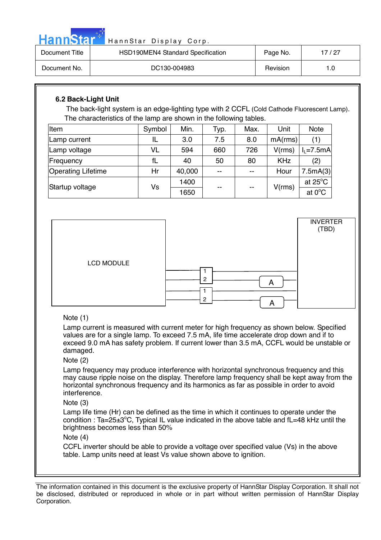|  | ann | 51 |  |
|--|-----|----|--|
|  |     |    |  |

| Document Title | HSD190MEN4 Standard Specification | Page No. | 17 / 27 |
|----------------|-----------------------------------|----------|---------|
| Document No.   | DC130-004983                      | Revision | 1.0     |

### **6.2 Back-Light Unit**

The back-light system is an edge-lighting type with 2 CCFL (Cold Cathode Fluorescent Lamp). The characteristics of the lamp are shown in the following tables.

| Item                      | Symbol | Min.   | Typ.  | Max. | Unit       | Note              |
|---------------------------|--------|--------|-------|------|------------|-------------------|
| Lamp current              |        | 3.0    | 7.5   | 8.0  | mA(rms)    | (1)               |
| Lamp voltage              | VL     | 594    | 660   | 726  | V(rms)     | $I1=7.5mA$        |
| <b>Frequency</b>          | fL     | 40     | 50    | 80   | <b>KHz</b> | (2)               |
| <b>Operating Lifetime</b> | Hr     | 40,000 | $- -$ | $-$  | Hour       | 7.5mA(3)          |
| Startup voltage           | Vs     | 1400   | --    | $-1$ | V(rms)     | at $25^{\circ}$ C |
|                           |        | 1650   |       |      |            | at $0^{\circ}$ C  |



#### Note (1)

Lamp current is measured with current meter for high frequency as shown below. Specified values are for a single lamp. To exceed 7.5 mA, life time accelerate drop down and if to exceed 9.0 mA has safety problem. If current lower than 3.5 mA, CCFL would be unstable or damaged.

#### Note (2)

Lamp frequency may produce interference with horizontal synchronous frequency and this may cause ripple noise on the display. Therefore lamp frequency shall be kept away from the horizontal synchronous frequency and its harmonics as far as possible in order to avoid interference.

Note (3)

Lamp life time (Hr) can be defined as the time in which it continues to operate under the condition : Ta=25 $\pm$ 3°C, Typical IL value indicated in the above table and fL=48 kHz until the brightness becomes less than 50%

#### Note (4)

CCFL inverter should be able to provide a voltage over specified value (Vs) in the above table. Lamp units need at least Vs value shown above to ignition.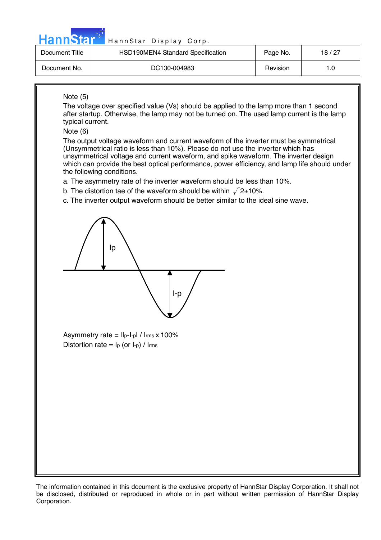| . .<br>lann<br>. . | ÆТ |  |
|--------------------|----|--|
|                    |    |  |

| Document Title | HSD190MEN4 Standard Specification | Page No. | 18 / 27 |
|----------------|-----------------------------------|----------|---------|
| Document No.   | DC130-004983                      | Revision |         |

#### Note (5)

The voltage over specified value (Vs) should be applied to the lamp more than 1 second after startup. Otherwise, the lamp may not be turned on. The used lamp current is the lamp typical current.

Note (6)

The output voltage waveform and current waveform of the inverter must be symmetrical (Unsymmetrical ratio is less than 10%). Please do not use the inverter which has unsymmetrical voltage and current waveform, and spike waveform. The inverter design which can provide the best optical performance, power efficiency, and lamp life should under the following conditions.

- a. The asymmetry rate of the inverter waveform should be less than 10%.
- b. The distortion tae of the waveform should be within  $\sqrt{2}$ ±10%.
- c. The inverter output waveform should be better similar to the ideal sine wave.



Asymmetry rate =  $\text{II}_{p-1-p}$  /  $\text{I}_{rms} \times 100\%$ Distortion rate =  $I_p$  (or  $I_p$ ) / Irms

The information contained in this document is the exclusive property of HannStar Display Corporation. It shall not be disclosed, distributed or reproduced in whole or in part without written permission of HannStar Display Corporation.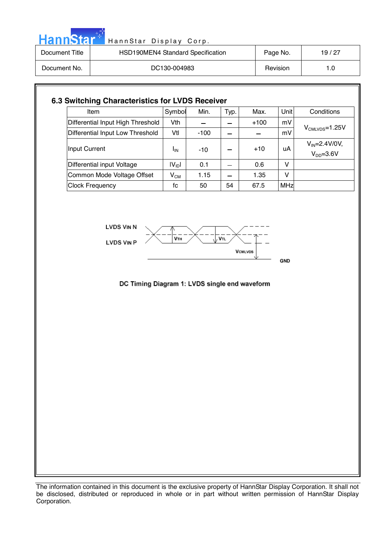

| Document Title | HSD190MEN4 Standard Specification | Page No. | 19/27 |
|----------------|-----------------------------------|----------|-------|
| Document No.   | DC130-004983                      | Revision | 1.0   |

| Item                              | Symbol     | Min.   | Typ. | Max.   | Unit | Conditions                          |
|-----------------------------------|------------|--------|------|--------|------|-------------------------------------|
| Differential Input High Threshold | Vth.       |        |      | $+100$ | mV   | $V_{CMLVDS} = 1.25V$                |
| Differential Input Low Threshold  | Vtl        | $-100$ |      |        | mV   |                                     |
| Input Current                     | ΙıΝ        | $-10$  |      | $+10$  | uA   | $V_{IN} = 2.4 V/0 V,$<br>$VDD=3.6V$ |
| Differential input Voltage        | $ V_{ID} $ | 0.1    |      | 0.6    | v    |                                     |
| Common Mode Voltage Offset        | $V_{CM}$   | 1.15   |      | 1.35   | v    |                                     |
| <b>Clock Frequency</b>            | fc         | 50     | 54   | 67.5   | MHz  |                                     |

**LVDS VIN N** 





#### DC Timing Diagram 1: LVDS single end waveform

The information contained in this document is the exclusive property of HannStar Display Corporation. It shall not be disclosed, distributed or reproduced in whole or in part without written permission of HannStar Display Corporation.

#### **GND**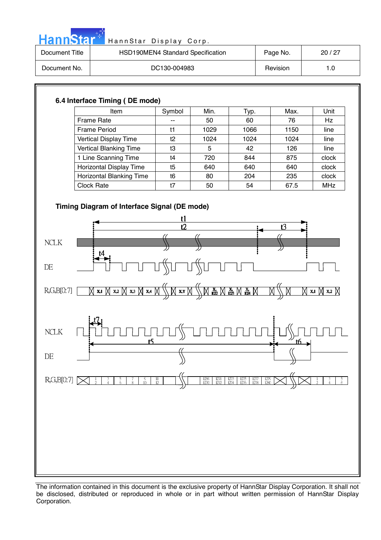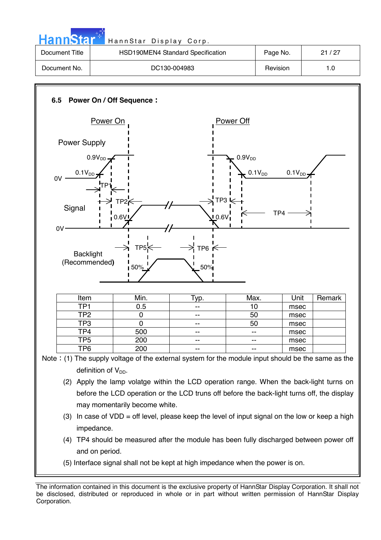| HannStar <sup>+</sup> | HannStar Display Corp.            |          |       |
|-----------------------|-----------------------------------|----------|-------|
| Document Title        | HSD190MEN4 Standard Specification | Page No. | 21/27 |
| Document No.          | DC130-004983                      | Revision | 1.0   |



The information contained in this document is the exclusive property of HannStar Display Corporation. It shall not be disclosed, distributed or reproduced in whole or in part without written permission of HannStar Display Corporation.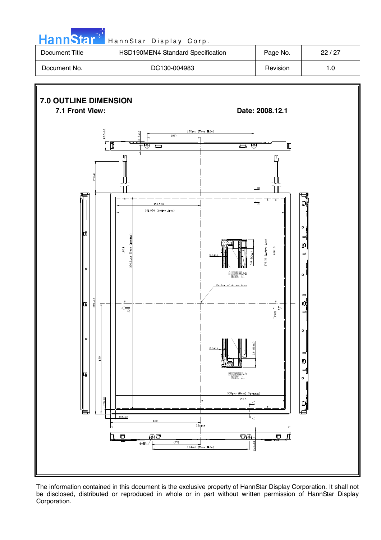

| Document Title | HSD190MEN4 Standard Specification | Page No. | 22/27 |
|----------------|-----------------------------------|----------|-------|
| Document No.   | DC130-004983                      | Revision | 1.0   |

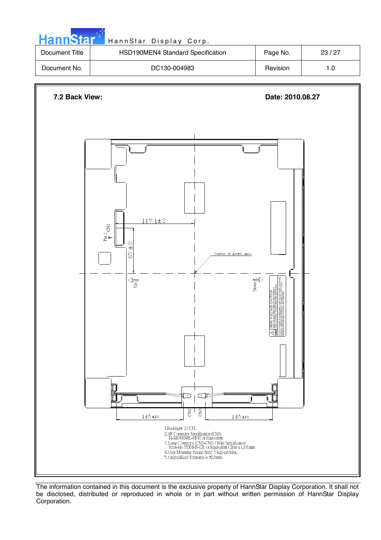

The information contained in this document is the exclusive property of HannStar Display Corporation. It shall not be disclosed, distributed or reproduced in whole or in part without written permission of HannStar Display Corporation.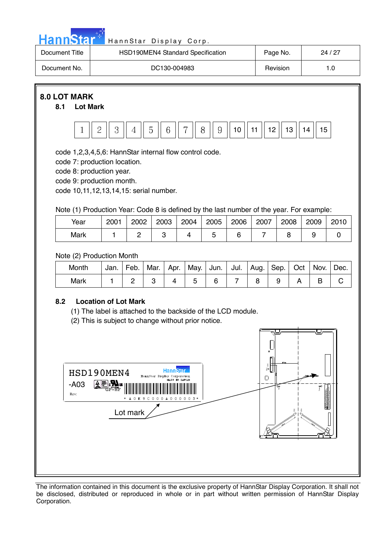

| Document Title | HSD190MEN4 Standard Specification | Page No. | 24 / 27 |
|----------------|-----------------------------------|----------|---------|
| Document No.   | DC130-004983                      | Revision |         |

## **8.0 LOT MARK**

#### **8.1 Lot Mark**



code 1,2,3,4,5,6: HannStar internal flow control code.

code 7: production location.

code 8: production year.

code 9: production month.

code 10,11,12,13,14,15: serial number.

Note (1) Production Year: Code 8 is defined by the last number of the year. For example:

| Year | 2001 | 2002 | 2003 | 2004 | 2005 | 2006 | 2007 | 2008 | 2009 | 2010 |
|------|------|------|------|------|------|------|------|------|------|------|
| Mark |      |      |      |      |      |      |      |      |      |      |

Note (2) Production Month

| Month | Jan. | Feb. | Mar. | Apr. | May. | Jun. I | Jul. | Aug. | Sep. | Oct | Nov. | Dec. |
|-------|------|------|------|------|------|--------|------|------|------|-----|------|------|
| Mark  |      |      |      |      |      |        |      |      |      |     |      |      |

#### **8.2 Location of Lot Mark**

(1) The label is attached to the backside of the LCD module.

(2) This is subject to change without prior notice.

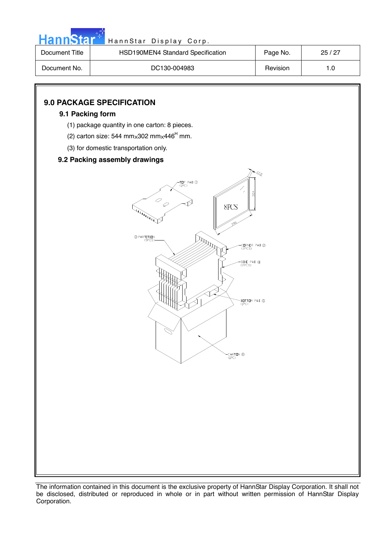

| Document Title | HSD190MEN4 Standard Specification | Page No. | 25/27 |
|----------------|-----------------------------------|----------|-------|
| Document No.   | DC130-004983                      | Revision | 1.0   |

## **9.0 PACKAGE SPECIFICATION**

#### **9.1 Packing form**

- (1) package quantity in one carton: 8 pieces.
- (2) carton size: 544 mm $\times$ 302 mm $\times$ 446<sup>H</sup> mm.
	- (3) for domestic transportation only.

#### **9.2 Packing assembly drawings**

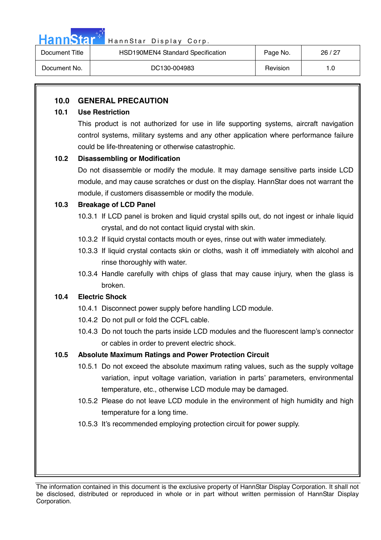

| Document Title | HSD190MEN4 Standard Specification | Page No. | 26/27 |
|----------------|-----------------------------------|----------|-------|
| Document No.   | DC130-004983                      | Revision | 1.0   |

### **10.0 GENERAL PRECAUTION**

#### **10.1 Use Restriction**

This product is not authorized for use in life supporting systems, aircraft navigation control systems, military systems and any other application where performance failure could be life-threatening or otherwise catastrophic.

#### **10.2 Disassembling or Modification**

Do not disassemble or modify the module. It may damage sensitive parts inside LCD module, and may cause scratches or dust on the display. HannStar does not warrant the module, if customers disassemble or modify the module.

#### **10.3 Breakage of LCD Panel**

- 10.3.1 If LCD panel is broken and liquid crystal spills out, do not ingest or inhale liquid crystal, and do not contact liquid crystal with skin.
- 10.3.2 If liquid crystal contacts mouth or eyes, rinse out with water immediately.
- 10.3.3 If liquid crystal contacts skin or cloths, wash it off immediately with alcohol and rinse thoroughly with water.
- 10.3.4 Handle carefully with chips of glass that may cause injury, when the glass is broken.

#### **10.4 Electric Shock**

- 10.4.1 Disconnect power supply before handling LCD module.
- 10.4.2 Do not pull or fold the CCFL cable.
- 10.4.3 Do not touch the parts inside LCD modules and the fluorescent lamp's connector or cables in order to prevent electric shock.

## **10.5 Absolute Maximum Ratings and Power Protection Circuit**

- 10.5.1 Do not exceed the absolute maximum rating values, such as the supply voltage variation, input voltage variation, variation in parts' parameters, environmental temperature, etc., otherwise LCD module may be damaged.
- 10.5.2 Please do not leave LCD module in the environment of high humidity and high temperature for a long time.
- 10.5.3 It's recommended employing protection circuit for power supply.

The information contained in this document is the exclusive property of HannStar Display Corporation. It shall not be disclosed, distributed or reproduced in whole or in part without written permission of HannStar Display Corporation.